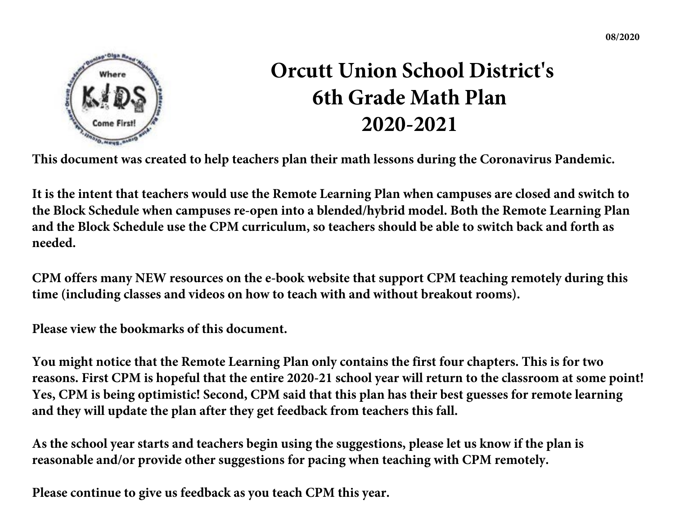

# **Orcutt Union School District's 6th Grade Math Plan 2020-2021**

**This document was created to help teachers plan their math lessons during the Coronavirus Pandemic.** 

**It is the intent that teachers would use the Remote Learning Plan when campuses are closed and switch to the Block Schedule when campuses re-open into a blended/hybrid model. Both the Remote Learning Plan and the Block Schedule use the CPM curriculum, so teachers should be able to switch back and forth as needed.** 

**CPM offers many NEW resources on the e-book website that support CPM teaching remotely during this time (including classes and videos on how to teach with and without breakout rooms).**

**Please view the bookmarks of this document.** 

**You might notice that the Remote Learning Plan only contains the first four chapters. This is for two reasons. First CPM is hopeful that the entire 2020-21 school year will return to the classroom at some point! Yes, CPM is being optimistic! Second, CPM said that this plan has their best guesses for remote learning and they will update the plan after they get feedback from teachers this fall.** 

**As the school year starts and teachers begin using the suggestions, please let us know if the plan is reasonable and/or provide other suggestions for pacing when teaching with CPM remotely.** 

**Please continue to give us feedback as you teach CPM this year.**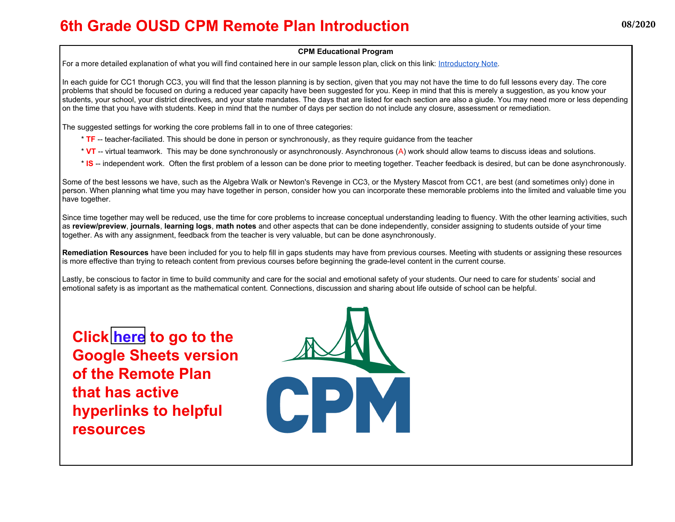### **6th Grade OUSD CPM Remote Plan Introduction**

#### **CPM Educational Program**

For a more detailed explanation of what you will find contained here in our sample lesson plan, click on this link: Introductory Note.

In each guide for CC1 thorugh CC3, you will find that the lesson planning is by section, given that you may not have the time to do full lessons every day. The core problems that should be focused on during a reduced year capacity have been suggested for you. Keep in mind that this is merely a suggestion, as you know your students, your school, your district directives, and your state mandates. The days that are listed for each section are also a giude. You may need more or less depending on the time that you have with students. Keep in mind that the number of days per section do not include any closure, assessment or remediation.

The suggested settings for working the core problems fall in to one of three categories:

- \* **TF** -- teacher-faciliated. This should be done in person or synchronously, as they require guidance from the teacher
- \* **VT** -- virtual teamwork. This may be done synchronously or asynchronously. Asynchronous (A) work should allow teams to discuss ideas and solutions.
- \* **IS** -- independent work. Often the first problem of a lesson can be done prior to meeting together. Teacher feedback is desired, but can be done asynchronously.

Some of the best lessons we have, such as the Algebra Walk or Newton's Revenge in CC3, or the Mystery Mascot from CC1, are best (and sometimes only) done in person. When planning what time you may have together in person, consider how you can incorporate these memorable problems into the limited and valuable time you have together.

Since time together may well be reduced, use the time for core problems to increase conceptual understanding leading to fluency. With the other learning activities, such as **review/preview**, **journals**, **learning logs**, **math notes** and other aspects that can be done independently, consider assigning to students outside of your time together. As with any assignment, feedback from the teacher is very valuable, but can be done asynchronously.

**Remediation Resources** have been included for you to help fill in gaps students may have from previous courses. Meeting with students or assigning these resources is more effective than trying to reteach content from previous courses before beginning the grade-level content in the current course.

Lastly, be conscious to factor in time to build community and care for the social and emotional safety of your students. Our need to care for students' social and emotional safety is as important as the mathematical content. Connections, discussion and sharing about life outside of school can be helpful.

**Click [here](https://docs.google.com/spreadsheets/d/1n_khInCdJF-sAyS4IacVKxDAV6qEfiBWwucMBrfDZ1o/edit?usp=sharing) to go to the Google Sheets version of the Remote Plan that has active hyperlinks to helpful resources**

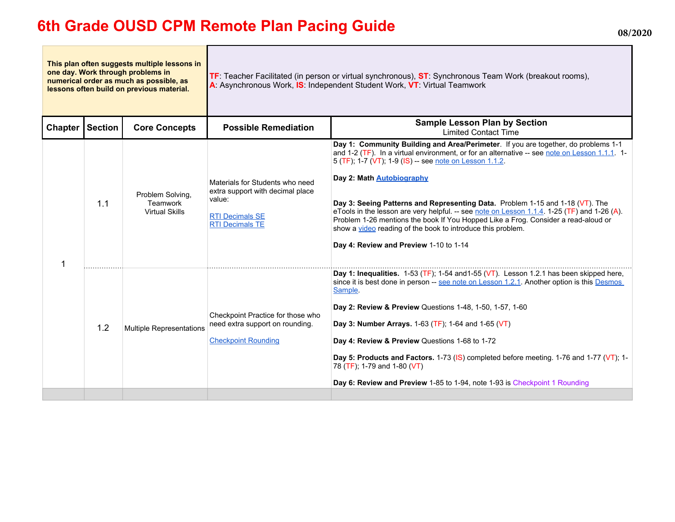## **6th Grade OUSD CPM Remote Plan Pacing Guide Discussed August 2020** 08/2020

| This plan often suggests multiple lessons in<br>one day. Work through problems in<br>numerical order as much as possible, as<br>lessons often build on previous material. |                |                                                       | TF: Teacher Facilitated (in person or virtual synchronous), ST: Synchronous Team Work (breakout rooms),<br>A: Asynchronous Work, IS: Independent Student Work, VT: Virtual Teamwork |                                                                                                                                                                                                                                                                                                                                                                                                                                                                                                                                                                                                                                                                   |  |
|---------------------------------------------------------------------------------------------------------------------------------------------------------------------------|----------------|-------------------------------------------------------|-------------------------------------------------------------------------------------------------------------------------------------------------------------------------------------|-------------------------------------------------------------------------------------------------------------------------------------------------------------------------------------------------------------------------------------------------------------------------------------------------------------------------------------------------------------------------------------------------------------------------------------------------------------------------------------------------------------------------------------------------------------------------------------------------------------------------------------------------------------------|--|
| <b>Chapter</b>                                                                                                                                                            | <b>Section</b> | <b>Core Concepts</b>                                  | <b>Possible Remediation</b>                                                                                                                                                         | <b>Sample Lesson Plan by Section</b><br><b>Limited Contact Time</b>                                                                                                                                                                                                                                                                                                                                                                                                                                                                                                                                                                                               |  |
|                                                                                                                                                                           | 1.1            | Problem Solving,<br>Teamwork<br><b>Virtual Skills</b> | Materials for Students who need<br>extra support with decimal place<br>value:<br><b>RTI Decimals SE</b><br><b>RTI Decimals TE</b>                                                   | Day 1: Community Building and Area/Perimeter. If you are together, do problems 1-1<br>and 1-2 (TF). In a virtual environment, or for an alternative -- see note on Lesson 1.1.1. 1-<br>5 (TF), 1-7 (VT), 1-9 (IS) -- see note on Lesson 1.1.2.<br>Day 2: Math <b>Autobiography</b><br>Day 3: Seeing Patterns and Representing Data. Problem 1-15 and 1-18 (VT). The<br>eTools in the lesson are very helpful. -- see note on Lesson 1.1.4, 1-25 (TF) and 1-26 (A).<br>Problem 1-26 mentions the book If You Hopped Like a Frog. Consider a read-aloud or<br>show a video reading of the book to introduce this problem.<br>Day 4: Review and Preview 1-10 to 1-14 |  |
|                                                                                                                                                                           | 1.2            | <b>Multiple Representations</b>                       | Checkpoint Practice for those who<br>need extra support on rounding.<br><b>Checkpoint Rounding</b>                                                                                  | Day 1: Inequalities. $1-53$ (TF); $1-54$ and $1-55$ (VT). Lesson 1.2.1 has been skipped here,<br>since it is best done in person -- see note on Lesson 1.2.1. Another option is this Desmos<br>Sample.<br>Day 2: Review & Preview Questions 1-48, 1-50, 1-57, 1-60<br>Day 3: Number Arrays. 1-63 (TF); 1-64 and 1-65 (VT)<br>Day 4: Review & Preview Questions 1-68 to 1-72<br>Day 5: Products and Factors. 1-73 (IS) completed before meeting. 1-76 and 1-77 (VT); 1-<br>78 (TF), 1-79 and 1-80 (VT)<br>Day 6: Review and Preview 1-85 to 1-94, note 1-93 is Checkpoint 1 Rounding                                                                               |  |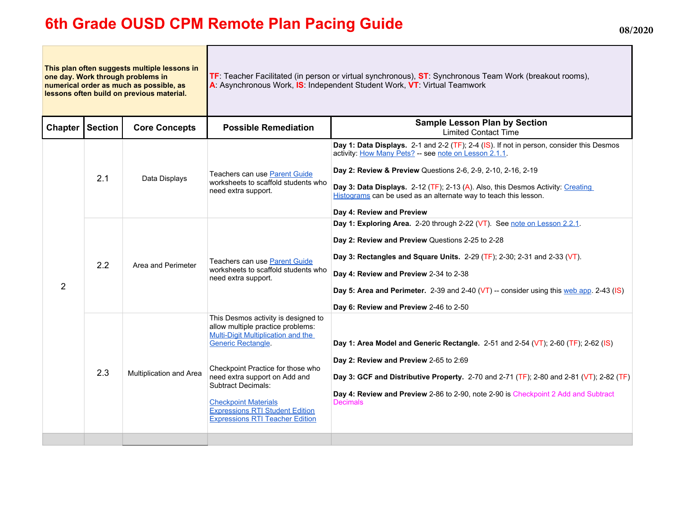## **6th Grade OUSD CPM Remote Plan Pacing Guide 08/2020**

**This plan often suggests multiple lessons in one day. Work through problems in numerical order as much as possible, as lessons often build on previous material. TF**: Teacher Facilitated (in person or virtual synchronous), **ST**: Synchronous Team Work (breakout rooms), **A**: Asynchronous Work, **IS**: Independent Student Work, **VT**: Virtual Teamwork Chapter Section Core Concepts **Possible Remediation** Limited Contact Time 2 2.1 Data Displays Teachers can use Parent Guide<br>
worksheets to scaffold students who need extra support. **Day 1: Data Displays.** 2-1 and 2-2 (TF); 2-4 (IS). If not in person, consider this Desmos activity: How Many Pets? -- see note on Lesson 2.1.1. **Day 2: Review & Preview** Questions 2-6, 2-9, 2-10, 2-16, 2-19 **Day 3: Data Displays.** 2-12 (TF); 2-13 (A). Also, this Desmos Activity: Creating Histograms can be used as an alternate way to teach this lesson. **Day 4: Review and Preview** 2.2 Area and Perimeter Teachers can use Parent Guide worksheets to scaffold students who need extra support. **Day 1: Exploring Area.** 2-20 through 2-22 (VT). See note on Lesson 2.2.1. **Day 2: Review and Preview** Questions 2-25 to 2-28 **Day 3: Rectangles and Square Units.** 2-29 (TF); 2-30; 2-31 and 2-33 (VT). **Day 4: Review and Preview** 2-34 to 2-38 **Day 5: Area and Perimeter.** 2-39 and 2-40 (VT) -- consider using this web app. 2-43 (IS) **Day 6: Review and Preview** 2-46 to 2-50 2.3 Multiplication and Area This Desmos activity is designed to allow multiple practice problems: Multi-Digit Multiplication and the Generic Rectangle. Checkpoint Practice for those who need extra support on Add and Subtract Decimals: Checkpoint Materials Expressions RTI Student Edition Expressions RTI Teacher Edition **Day 1: Area Model and Generic Rectangle.** 2-51 and 2-54 (VT); 2-60 (TF); 2-62 (IS) **Day 2: Review and Preview** 2-65 to 2:69 **Day 3: GCF and Distributive Property.** 2-70 and 2-71 (TF); 2-80 and 2-81 (VT); 2-82 (TF) **Day 4: Review and Preview** 2-86 to 2-90, note 2-90 is Checkpoint 2 Add and Subtract **Decimals**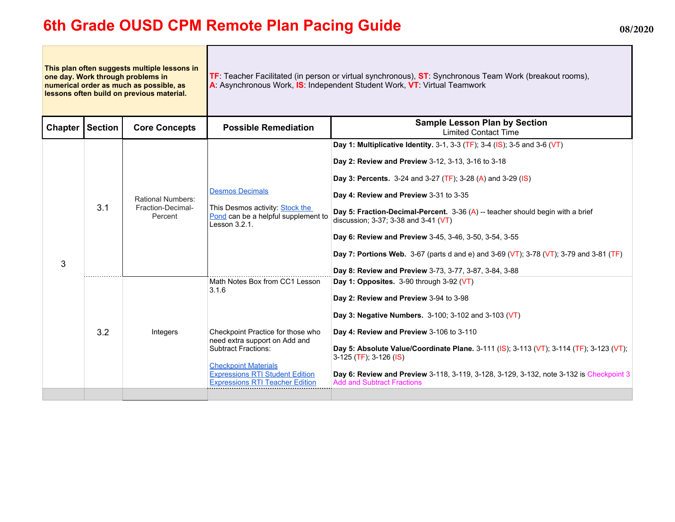### **6th Grade OUSD CPM Remote Plan Pacing Guide 08/2020**

**This plan often suggests multiple lessons in one day. Work through problems in numerical order as much as possible, as lessons often build on previous material. TF**: Teacher Facilitated (in person or virtual synchronous), **ST**: Synchronous Team Work (breakout rooms), **A**: Asynchronous Work, **IS**: Independent Student Work, **VT**: Virtual Teamwork **Chapter Section Core Concepts Possible Remediation Sample Lesson Plan by Section** Limited Contact Time 3 3.1 Rational Numbers: Fraction-Decimal-Percent Desmos Decimals This Desmos activity: Stock the Pond can be a helpful supplement to Lesson 3.2.1. **Day 1: Multiplicative Identity.** 3-1, 3-3 (TF); 3-4 (IS); 3-5 and 3-6 (VT) **Day 2: Review and Preview** 3-12, 3-13, 3-16 to 3-18 **Day 3: Percents.** 3-24 and 3-27 (TF); 3-28 (A) and 3-29 (IS) **Day 4: Review and Preview** 3-31 to 3-35 **Day 5: Fraction-Decimal-Percent.** 3-36 (A) -- teacher should begin with a brief discussion; 3-37; 3-38 and 3-41 (VT) **Day 6: Review and Preview** 3-45, 3-46, 3-50, 3-54, 3-55 **Day 7: Portions Web.** 3-67 (parts d and e) and 3-69 (VT); 3-78 (VT); 3-79 and 3-81 (TF) **Day 8: Review and Preview** 3-73, 3-77, 3-87, 3-84, 3-88 3.2 Integers Math Notes Box from CC1 Lesson 3.1.6 Checkpoint Practice for those who need extra support on Add and Subtract Fractions: Checkpoint Materials Expressions RTI Student Edition Expressions RTI Teacher Edition **Day 1: Opposites.** 3-90 through 3-92 (VT) **Day 2: Review and Preview** 3-94 to 3-98 **Day 3: Negative Numbers.** 3-100; 3-102 and 3-103 (VT) **Day 4: Review and Preview** 3-106 to 3-110 **Day 5: Absolute Value/Coordinate Plane.** 3-111 (IS); 3-113 (VT); 3-114 (TF); 3-123 (VT); 3-125 (TF); 3-126 (IS) **Day 6: Review and Preview** 3-118, 3-119, 3-128, 3-129, 3-132, note 3-132 is Checkpoint 3 Add and Subtract Fractions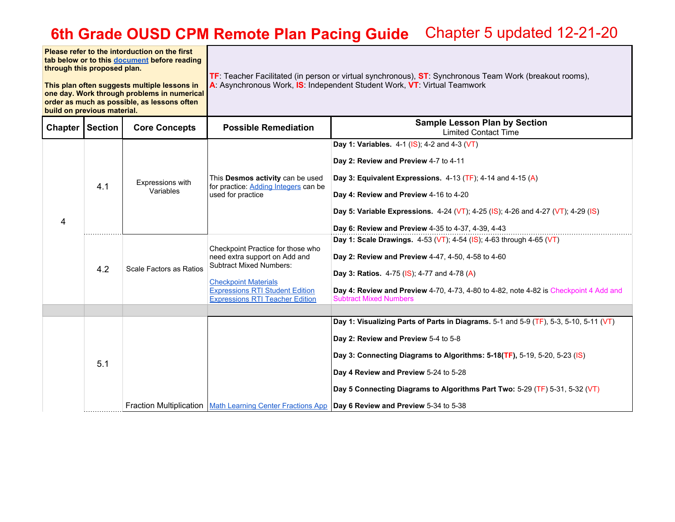| Please refer to the intorduction on the first<br>tab below or to this document before reading<br>through this proposed plan.<br>This plan often suggests multiple lessons in<br>one day. Work through problems in numerical<br>order as much as possible, as lessons often<br>build on previous material. |                |                               | TF: Teacher Facilitated (in person or virtual synchronous), ST: Synchronous Team Work (breakout rooms),<br>A: Asynchronous Work, IS: Independent Student Work, VT: Virtual Teamwork                                     |                                                                                                                                                                                                                                                                                                                                                                                                                                            |  |
|-----------------------------------------------------------------------------------------------------------------------------------------------------------------------------------------------------------------------------------------------------------------------------------------------------------|----------------|-------------------------------|-------------------------------------------------------------------------------------------------------------------------------------------------------------------------------------------------------------------------|--------------------------------------------------------------------------------------------------------------------------------------------------------------------------------------------------------------------------------------------------------------------------------------------------------------------------------------------------------------------------------------------------------------------------------------------|--|
| Chapter                                                                                                                                                                                                                                                                                                   | <b>Section</b> | <b>Core Concepts</b>          | <b>Possible Remediation</b>                                                                                                                                                                                             | <b>Sample Lesson Plan by Section</b><br><b>Limited Contact Time</b>                                                                                                                                                                                                                                                                                                                                                                        |  |
| 4                                                                                                                                                                                                                                                                                                         | 4.1            | Expressions with<br>Variables | This Desmos activity can be used<br>for practice: Adding Integers can be<br>used for practice                                                                                                                           | Day 1: Variables. 4-1 (IS); 4-2 and 4-3 (VT)<br>Day 2: Review and Preview 4-7 to 4-11<br>Day 3: Equivalent Expressions. $4-13$ (TF); $4-14$ and $4-15$ (A)<br>Day 4: Review and Preview 4-16 to 4-20<br>Day 5: Variable Expressions. 4-24 (VT); 4-25 (IS); 4-26 and 4-27 (VT); 4-29 (IS)<br>Day 6: Review and Preview 4-35 to 4-37, 4-39, 4-43                                                                                             |  |
|                                                                                                                                                                                                                                                                                                           | 4.2            | Scale Factors as Ratios       | Checkpoint Practice for those who<br>need extra support on Add and<br><b>Subtract Mixed Numbers:</b><br><b>Checkpoint Materials</b><br><b>Expressions RTI Student Edition</b><br><b>Expressions RTI Teacher Edition</b> | Day 1: Scale Drawings. 4-53 (VT); 4-54 (IS); 4-63 through 4-65 (VT)<br>Day 2: Review and Preview 4-47, 4-50, 4-58 to 4-60<br>Day 3: Ratios. 4-75 (IS); 4-77 and 4-78 (A)<br>Day 4: Review and Preview 4-70, 4-73, 4-80 to 4-82, note 4-82 is Checkpoint 4 Add and<br><b>Subtract Mixed Numbers</b>                                                                                                                                         |  |
|                                                                                                                                                                                                                                                                                                           | 5.1            |                               |                                                                                                                                                                                                                         | Day 1: Visualizing Parts of Parts in Diagrams. 5-1 and 5-9 (TF), 5-3, 5-10, 5-11 (VT)<br>Day 2: Review and Preview 5-4 to 5-8<br>Day 3: Connecting Diagrams to Algorithms: 5-18(TF), 5-19, 5-20, 5-23 (IS)<br>Day 4 Review and Preview 5-24 to 5-28<br>Day 5 Connecting Diagrams to Algorithms Part Two: 5-29 (TF) 5-31, 5-32 (VT)<br>Fraction Multiplication   Math Learning Center Fractions App   Day 6 Review and Preview 5-34 to 5-38 |  |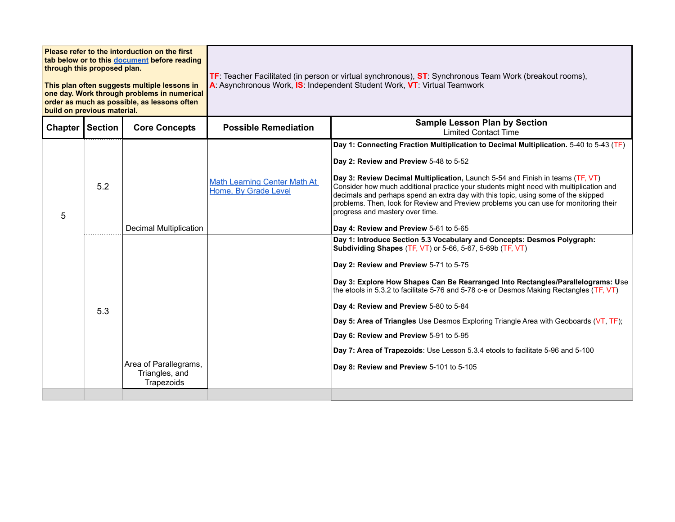| through this proposed plan.<br>build on previous material. |     | Please refer to the intorduction on the first<br>tab below or to this document before reading<br>This plan often suggests multiple lessons in<br>one day. Work through problems in numerical<br>order as much as possible, as lessons often |                                                             | TF: Teacher Facilitated (in person or virtual synchronous), ST: Synchronous Team Work (breakout rooms),<br>A: Asynchronous Work, IS: Independent Student Work, VT: Virtual Teamwork                                                                                                                                                                                                                                                                                                                                                                                                                                                                                      |  |  |
|------------------------------------------------------------|-----|---------------------------------------------------------------------------------------------------------------------------------------------------------------------------------------------------------------------------------------------|-------------------------------------------------------------|--------------------------------------------------------------------------------------------------------------------------------------------------------------------------------------------------------------------------------------------------------------------------------------------------------------------------------------------------------------------------------------------------------------------------------------------------------------------------------------------------------------------------------------------------------------------------------------------------------------------------------------------------------------------------|--|--|
| Chapter Section                                            |     | <b>Core Concepts</b>                                                                                                                                                                                                                        | <b>Possible Remediation</b>                                 | <b>Sample Lesson Plan by Section</b><br><b>Limited Contact Time</b>                                                                                                                                                                                                                                                                                                                                                                                                                                                                                                                                                                                                      |  |  |
| 5                                                          | 5.2 | Decimal Multiplication                                                                                                                                                                                                                      | <b>Math Learning Center Math At</b><br>Home, By Grade Level | Day 1: Connecting Fraction Multiplication to Decimal Multiplication. 5-40 to 5-43 (TF)<br>Day 2: Review and Preview 5-48 to 5-52<br>Day 3: Review Decimal Multiplication, Launch 5-54 and Finish in teams (TF, VT)<br>Consider how much additional practice your students might need with multiplication and<br>decimals and perhaps spend an extra day with this topic, using some of the skipped<br>problems. Then, look for Review and Preview problems you can use for monitoring their<br>progress and mastery over time.<br>Day 4: Review and Preview 5-61 to 5-65                                                                                                 |  |  |
|                                                            | 5.3 | Area of Parallegrams,<br>Triangles, and<br>Trapezoids                                                                                                                                                                                       |                                                             | Day 1: Introduce Section 5.3 Vocabulary and Concepts: Desmos Polygraph:<br>Subdividing Shapes (TF, VT) or 5-66, 5-67, 5-69b (TF, VT)<br>Day 2: Review and Preview 5-71 to 5-75<br>Day 3: Explore How Shapes Can Be Rearranged Into Rectangles/Parallelograms: Use<br>the etools in 5.3.2 to facilitate 5-76 and 5-78 c-e or Desmos Making Rectangles (TF, VT)<br>Day 4: Review and Preview 5-80 to 5-84<br>Day 5: Area of Triangles Use Desmos Exploring Triangle Area with Geoboards (VT, TF);<br>Day 6: Review and Preview 5-91 to 5-95<br>Day 7: Area of Trapezoids: Use Lesson 5.3.4 etools to facilitate 5-96 and 5-100<br>Day 8: Review and Preview 5-101 to 5-105 |  |  |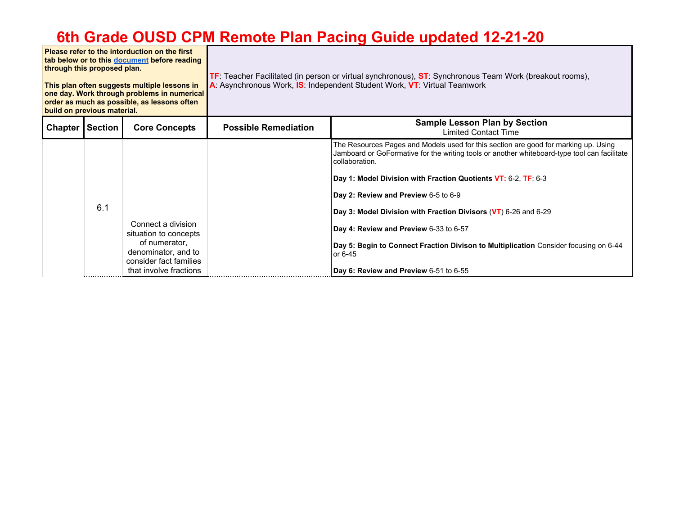**Please refer to the intorduction on the first tab below or to this document before reading through this proposed plan. This plan often suggests multiple lessons in one day. Work through problems in numerical order as much as possible, as lessons often build on previous material. TF**: Teacher Facilitated (in person or virtual synchronous), **ST**: Synchronous Team Work (breakout rooms), **A**: Asynchronous Work, **IS**: Independent Student Work, **VT**: Virtual Teamwork **Chapter Section Core Concepts Possible Remediation Chapter Sample Lesson Plan by Section** Limited Contact Time 6.1 Connect a division situation to concepts of numerator, denominator, and to consider fact families that involve fractions The Resources Pages and Models used for this section are good for marking up. Using Jamboard or GoFormative for the writing tools or another whiteboard-type tool can facilitate collaboration. **Day 1: Model Division with Fraction Quotients VT:** 6-2, **TF**: 6-3 **Day 2: Review and Preview** 6-5 to 6-9 **Day 3: Model Division with Fraction Divisors** (**VT**) 6-26 and 6-29 **Day 4: Review and Preview** 6-33 to 6-57 **Day 5: Begin to Connect Fraction Divison to Multiplication** Consider focusing on 6-44 or 6-45 **Day 6: Review and Preview** 6-51 to 6-55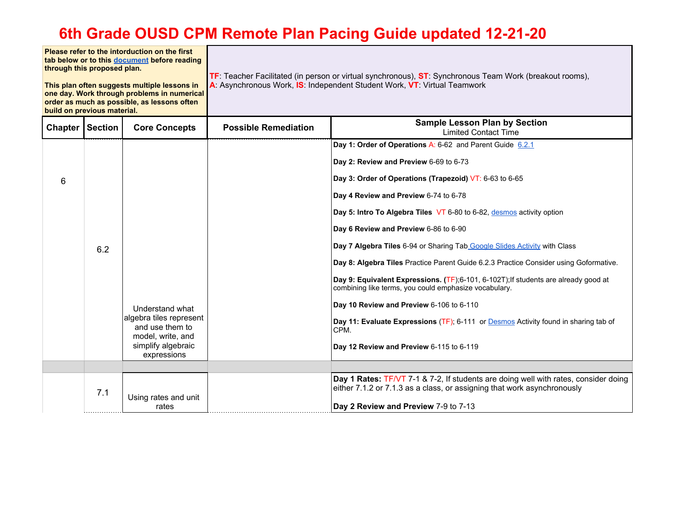**Please refer to the intorduction on the first tab below or to this document before reading through this proposed plan. This plan often suggests multiple lessons in one day. Work through problems in numerical order as much as possible, as lessons often build on previous material. TF**: Teacher Facilitated (in person or virtual synchronous), **ST**: Synchronous Team Work (breakout rooms), **A**: Asynchronous Work, **IS**: Independent Student Work, **VT**: Virtual Teamwork Chapter Section Core Concepts **Possible Remediation Chapter Sample Lesson Plan by Section** Limited Contact Time 6 6.2 Understand what algebra tiles represent and use them to model, write, and simplify algebraic expressions **Day 1: Order of Operations A: 6-62 and Parent Guide 6.2.1 Day 2: Review and Preview** 6-69 to 6-73 **Day 3: Order of Operations (Trapezoid)** VT: 6-63 to 6-65 **Day 4 Review and Preview** 6-74 to 6-78 **Day 5: Intro To Algebra Tiles** VT 6-80 to 6-82, desmos activity option **Day 6 Review and Preview** 6-86 to 6-90 **Day 7 Algebra Tiles** 6-94 or Sharing Tab Google Slides Activity with Class **Day 8: Algebra Tiles** Practice Parent Guide 6.2.3 Practice Consider using Goformative. **Day 9: Equivalent Expressions. (**TF);6-101, 6-102T);If students are already good at combining like terms, you could emphasize vocabulary. **Day 10 Review and Preview** 6-106 to 6-110 **Day 11: Evaluate Expressions** (TF); 6-111 or Desmos Activity found in sharing tab of CPM. **Day 12 Review and Preview** 6-115 to 6-119  $7.1$  Using rates and unit rates **Day 1 Rates:** TF/VT 7-1 & 7-2, If students are doing well with rates, consider doing either 7.1.2 or 7.1.3 as a class, or assigning that work asynchronously **Day 2 Review and Preview** 7-9 to 7-13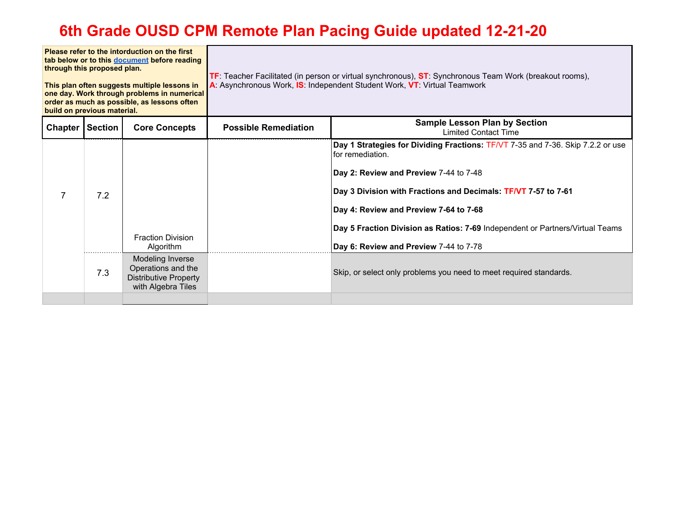| Please refer to the intorduction on the first<br>tab below or to this document before reading<br>through this proposed plan.<br>This plan often suggests multiple lessons in<br>one day. Work through problems in numerical<br>order as much as possible, as lessons often<br>build on previous material. |     |                                                                                              | TF: Teacher Facilitated (in person or virtual synchronous), ST: Synchronous Team Work (breakout rooms),<br>A: Asynchronous Work, IS: Independent Student Work, VT: Virtual Teamwork |                                                                                                                                                                                                                                                                                                                                                                                      |
|-----------------------------------------------------------------------------------------------------------------------------------------------------------------------------------------------------------------------------------------------------------------------------------------------------------|-----|----------------------------------------------------------------------------------------------|-------------------------------------------------------------------------------------------------------------------------------------------------------------------------------------|--------------------------------------------------------------------------------------------------------------------------------------------------------------------------------------------------------------------------------------------------------------------------------------------------------------------------------------------------------------------------------------|
| <b>Chapter   Section</b>                                                                                                                                                                                                                                                                                  |     | <b>Core Concepts</b>                                                                         | <b>Possible Remediation</b>                                                                                                                                                         | <b>Sample Lesson Plan by Section</b><br><b>Limited Contact Time</b>                                                                                                                                                                                                                                                                                                                  |
|                                                                                                                                                                                                                                                                                                           | 7.2 | <b>Fraction Division</b><br>Algorithm                                                        |                                                                                                                                                                                     | Day 1 Strategies for Dividing Fractions: TF/VT 7-35 and 7-36. Skip 7.2.2 or use<br>for remediation.<br>Day 2: Review and Preview 7-44 to 7-48<br>Day 3 Division with Fractions and Decimals: TF/VT 7-57 to 7-61<br>Day 4: Review and Preview 7-64 to 7-68<br>Day 5 Fraction Division as Ratios: 7-69 Independent or Partners/Virtual Teams<br>Day 6: Review and Preview 7-44 to 7-78 |
|                                                                                                                                                                                                                                                                                                           | 7.3 | Modeling Inverse<br>Operations and the<br><b>Distributive Property</b><br>with Algebra Tiles |                                                                                                                                                                                     | Skip, or select only problems you need to meet required standards.                                                                                                                                                                                                                                                                                                                   |
|                                                                                                                                                                                                                                                                                                           |     |                                                                                              |                                                                                                                                                                                     |                                                                                                                                                                                                                                                                                                                                                                                      |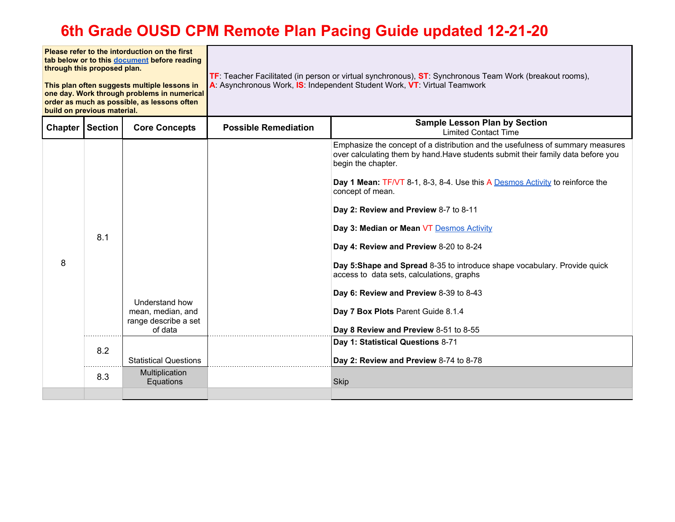| Please refer to the intorduction on the first<br>tab below or to this document before reading<br>through this proposed plan.<br>This plan often suggests multiple lessons in<br>one day. Work through problems in numerical<br>order as much as possible, as lessons often<br>build on previous material. |     |                                                                        | TF: Teacher Facilitated (in person or virtual synchronous), ST: Synchronous Team Work (breakout rooms),<br>A: Asynchronous Work, IS: Independent Student Work, VT: Virtual Teamwork |                                                                                                                                                                                                                                                                                                                                                                                                                                                                                                                                                                                                                                                                                       |  |
|-----------------------------------------------------------------------------------------------------------------------------------------------------------------------------------------------------------------------------------------------------------------------------------------------------------|-----|------------------------------------------------------------------------|-------------------------------------------------------------------------------------------------------------------------------------------------------------------------------------|---------------------------------------------------------------------------------------------------------------------------------------------------------------------------------------------------------------------------------------------------------------------------------------------------------------------------------------------------------------------------------------------------------------------------------------------------------------------------------------------------------------------------------------------------------------------------------------------------------------------------------------------------------------------------------------|--|
| Chapter   Section                                                                                                                                                                                                                                                                                         |     | <b>Core Concepts</b>                                                   | <b>Sample Lesson Plan by Section</b><br><b>Possible Remediation</b><br><b>Limited Contact Time</b>                                                                                  |                                                                                                                                                                                                                                                                                                                                                                                                                                                                                                                                                                                                                                                                                       |  |
| 8                                                                                                                                                                                                                                                                                                         | 8.1 | Understand how<br>mean, median, and<br>range describe a set<br>of data |                                                                                                                                                                                     | Emphasize the concept of a distribution and the usefulness of summary measures<br>over calculating them by hand. Have students submit their family data before you<br>begin the chapter.<br><b>Day 1 Mean: TF/VT 8-1, 8-3, 8-4. Use this A Desmos Activity to reinforce the</b><br>concept of mean.<br>Day 2: Review and Preview 8-7 to 8-11<br>Day 3: Median or Mean VT Desmos Activity<br>Day 4: Review and Preview 8-20 to 8-24<br>Day 5: Shape and Spread 8-35 to introduce shape vocabulary. Provide quick<br>access to data sets, calculations, graphs<br>Day 6: Review and Preview 8-39 to 8-43<br>Day 7 Box Plots Parent Guide 8.1.4<br>Day 8 Review and Preview 8-51 to 8-55 |  |
|                                                                                                                                                                                                                                                                                                           | 8.2 | <b>Statistical Questions</b>                                           |                                                                                                                                                                                     | Day 1: Statistical Questions 8-71<br>Day 2: Review and Preview 8-74 to 8-78                                                                                                                                                                                                                                                                                                                                                                                                                                                                                                                                                                                                           |  |
|                                                                                                                                                                                                                                                                                                           | 8.3 | Multiplication<br>Equations                                            |                                                                                                                                                                                     | <b>Skip</b>                                                                                                                                                                                                                                                                                                                                                                                                                                                                                                                                                                                                                                                                           |  |
|                                                                                                                                                                                                                                                                                                           |     |                                                                        |                                                                                                                                                                                     |                                                                                                                                                                                                                                                                                                                                                                                                                                                                                                                                                                                                                                                                                       |  |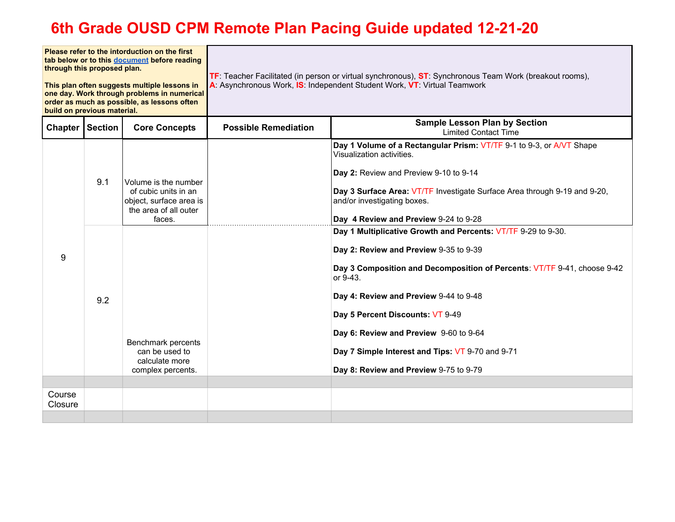| Please refer to the intorduction on the first<br>tab below or to this document before reading<br>through this proposed plan.<br>This plan often suggests multiple lessons in<br>one day. Work through problems in numerical<br>order as much as possible, as lessons often<br>build on previous material. |            |                                                                                                                                                                                           | TF: Teacher Facilitated (in person or virtual synchronous), ST: Synchronous Team Work (breakout rooms),<br>A: Asynchronous Work, IS: Independent Student Work, VT: Virtual Teamwork |                                                                                                                                                                                                                                                                                                                                                                                                                                                                                                                                                                                                                                                                                                                           |
|-----------------------------------------------------------------------------------------------------------------------------------------------------------------------------------------------------------------------------------------------------------------------------------------------------------|------------|-------------------------------------------------------------------------------------------------------------------------------------------------------------------------------------------|-------------------------------------------------------------------------------------------------------------------------------------------------------------------------------------|---------------------------------------------------------------------------------------------------------------------------------------------------------------------------------------------------------------------------------------------------------------------------------------------------------------------------------------------------------------------------------------------------------------------------------------------------------------------------------------------------------------------------------------------------------------------------------------------------------------------------------------------------------------------------------------------------------------------------|
| <b>Chapter   Section</b>                                                                                                                                                                                                                                                                                  |            | <b>Core Concepts</b>                                                                                                                                                                      | <b>Possible Remediation</b>                                                                                                                                                         | <b>Sample Lesson Plan by Section</b><br><b>Limited Contact Time</b>                                                                                                                                                                                                                                                                                                                                                                                                                                                                                                                                                                                                                                                       |
| 9                                                                                                                                                                                                                                                                                                         | 9.1<br>9.2 | Volume is the number<br>of cubic units in an<br>object, surface area is<br>the area of all outer<br>faces.<br>Benchmark percents<br>can be used to<br>calculate more<br>complex percents. |                                                                                                                                                                                     | Day 1 Volume of a Rectangular Prism: VT/TF 9-1 to 9-3, or A/VT Shape<br>Visualization activities.<br>Day 2: Review and Preview 9-10 to 9-14<br>Day 3 Surface Area: VT/TF Investigate Surface Area through 9-19 and 9-20,<br>and/or investigating boxes.<br>Day 4 Review and Preview 9-24 to 9-28<br>Day 1 Multiplicative Growth and Percents: VT/TF 9-29 to 9-30.<br>Day 2: Review and Preview 9-35 to 9-39<br>Day 3 Composition and Decomposition of Percents: VT/TF 9-41, choose 9-42<br>or 9-43.<br>Day 4: Review and Preview 9-44 to 9-48<br>Day 5 Percent Discounts: VT 9-49<br>Day 6: Review and Preview 9-60 to 9-64<br>Day 7 Simple Interest and Tips: VT 9-70 and 9-71<br>Day 8: Review and Preview 9-75 to 9-79 |
|                                                                                                                                                                                                                                                                                                           |            |                                                                                                                                                                                           |                                                                                                                                                                                     |                                                                                                                                                                                                                                                                                                                                                                                                                                                                                                                                                                                                                                                                                                                           |
| Course<br>Closure                                                                                                                                                                                                                                                                                         |            |                                                                                                                                                                                           |                                                                                                                                                                                     |                                                                                                                                                                                                                                                                                                                                                                                                                                                                                                                                                                                                                                                                                                                           |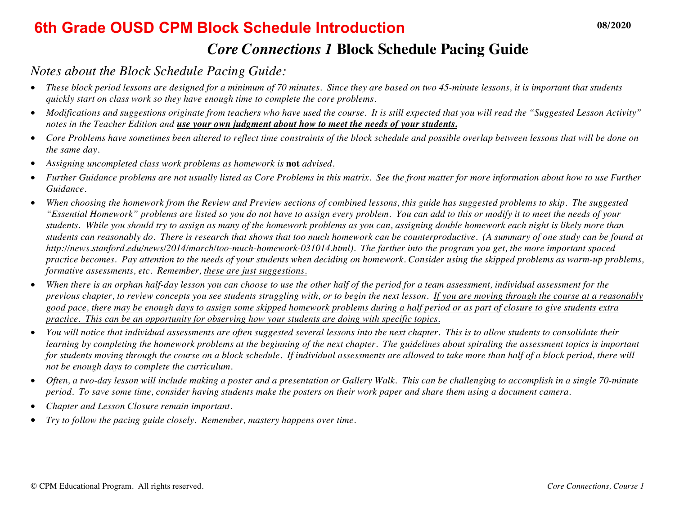#### **6th Grade OUSD CPM Block Schedule Introduction 08/2020**

#### *Core Connections 1* **Block Schedule Pacing Guide**

#### *Notes about the Block Schedule Pacing Guide:*

- *These block period lessons are designed for a minimum of 70 minutes. Since they are based on two 45-minute lessons, it is important that students quickly start on class work so they have enough time to complete the core problems.*
- *Modifications and suggestions originate from teachers who have used the course. It is still expected that you will read the "Suggested Lesson Activity" notes in the Teacher Edition and use your own judgment about how to meet the needs of your students.*
- *Core Problems have sometimes been altered to reflect time constraints of the block schedule and possible overlap between lessons that will be done on the same day.*
- *Assigning uncompleted class work problems as homework is* **not** *advised.*
- *Further Guidance problems are not usually listed as Core Problems in this matrix. See the front matter for more information about how to use Further Guidance.*
- *When choosing the homework from the Review and Preview sections of combined lessons, this guide has suggested problems to skip. The suggested "Essential Homework" problems are listed so you do not have to assign every problem. You can add to this or modify it to meet the needs of your students. While you should try to assign as many of the homework problems as you can, assigning double homework each night is likely more than students can reasonably do. There is research that shows that too much homework can be counterproductive. (A summary of one study can be found at http://news.stanford.edu/news/2014/march/too-much-homework-031014.html). The farther into the program you get, the more important spaced practice becomes. Pay attention to the needs of your students when deciding on homework. Consider using the skipped problems as warm-up problems, formative assessments, etc. Remember, these are just suggestions.*
- *When there is an orphan half-day lesson you can choose to use the other half of the period for a team assessment, individual assessment for the previous chapter, to review concepts you see students struggling with, or to begin the next lesson. If you are moving through the course at a reasonably good pace, there may be enough days to assign some skipped homework problems during a half period or as part of closure to give students extra practice. This can be an opportunity for observing how your students are doing with specific topics.*
- *You will notice that individual assessments are often suggested several lessons into the next chapter. This is to allow students to consolidate their learning by completing the homework problems at the beginning of the next chapter. The guidelines about spiraling the assessment topics is important* for students moving through the course on a block schedule. If individual assessments are allowed to take more than half of a block period, there will *not be enough days to complete the curriculum.*
- *Often, a two-day lesson will include making a poster and a presentation or Gallery Walk. This can be challenging to accomplish in a single 70-minute period. To save some time, consider having students make the posters on their work paper and share them using a document camera.*
- *Chapter and Lesson Closure remain important.*
- *Try to follow the pacing guide closely. Remember, mastery happens over time.*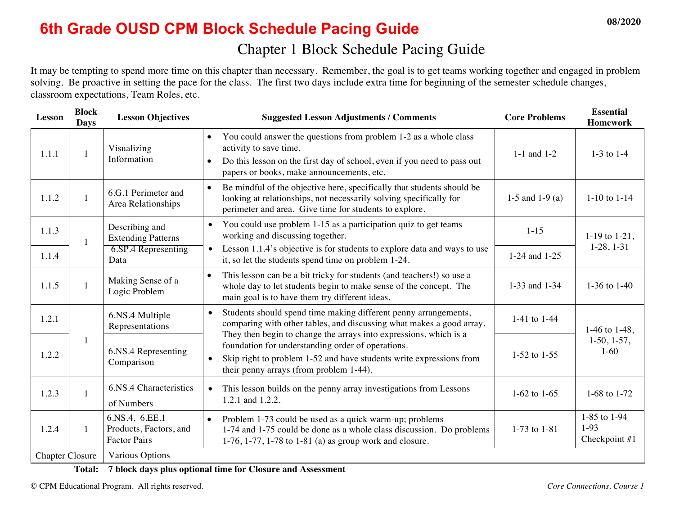## **6th Grade OUSD CPM Block Schedule Pacing Guide 08/2020**

It may be tempting to spend more time on this chapter than necessary. Remember, the goal is to get teams working together and engaged in problem solving. Be proactive in setting the pace for the class. The first two days include extra time for beginning of the semester schedule changes, classroom expectations, Team Roles, etc.

| <b>Lesson</b>          | <b>Block</b><br><b>Days</b> | <b>Lesson Objectives</b>                                        | <b>Suggested Lesson Adjustments / Comments</b>                                                                                                                                                                                               | <b>Core Problems</b> | <b>Essential</b><br><b>Homework</b>     |
|------------------------|-----------------------------|-----------------------------------------------------------------|----------------------------------------------------------------------------------------------------------------------------------------------------------------------------------------------------------------------------------------------|----------------------|-----------------------------------------|
| 1.1.1                  | $\mathbf{1}$                | Visualizing<br>Information                                      | You could answer the questions from problem 1-2 as a whole class<br>$\bullet$<br>activity to save time.<br>Do this lesson on the first day of school, even if you need to pass out<br>$\bullet$<br>papers or books, make announcements, etc. | $1-1$ and $1-2$      | $1-3$ to $1-4$                          |
| 1.1.2                  | $\mathbf{1}$                | 6.G.1 Perimeter and<br>Area Relationships                       | Be mindful of the objective here, specifically that students should be<br>$\bullet$<br>looking at relationships, not necessarily solving specifically for<br>perimeter and area. Give time for students to explore.                          | 1-5 and 1-9 (a)      | $1-10$ to $1-14$                        |
| 1.1.3                  | 1                           | Describing and<br><b>Extending Patterns</b>                     | You could use problem 1-15 as a participation quiz to get teams<br>$\bullet$<br>working and discussing together.                                                                                                                             | $1 - 15$             | 1-19 to $1-21$ ,                        |
| 1.1.4                  |                             | 6.SP.4 Representing<br>Data                                     | Lesson 1.1.4's objective is for students to explore data and ways to use<br>$\bullet$<br>it, so let the students spend time on problem 1-24.                                                                                                 | 1-24 and 1-25        | $1-28, 1-31$                            |
| 1.1.5                  | $\mathbf{1}$                | Making Sense of a<br>Logic Problem                              | This lesson can be a bit tricky for students (and teachers!) so use a<br>$\bullet$<br>whole day to let students begin to make sense of the concept. The<br>main goal is to have them try different ideas.                                    | 1-33 and 1-34        | 1-36 to $1-40$                          |
| 1.2.1                  |                             | 6.NS.4 Multiple<br>Representations                              | Students should spend time making different penny arrangements,<br>$\bullet$<br>comparing with other tables, and discussing what makes a good array.                                                                                         | 1-41 to 1-44         | 1-46 to 1-48,                           |
| 1.2.2                  | $\mathbf{1}$                | 6.NS.4 Representing<br>Comparison                               | They then begin to change the arrays into expressions, which is a<br>foundation for understanding order of operations.<br>Skip right to problem 1-52 and have students write expressions from<br>their penny arrays (from problem 1-44).     | $1-52$ to $1-55$     | $1-50, 1-57,$<br>$1-60$                 |
| 1.2.3                  | $\mathbf{1}$                | 6.NS.4 Characteristics<br>of Numbers                            | This lesson builds on the penny array investigations from Lessons<br>$\bullet$<br>1.2.1 and 1.2.2.                                                                                                                                           | 1-62 to $1-65$       | 1-68 to 1-72                            |
| 1.2.4                  | $\mathbf{1}$                | 6.NS.4, 6.EE.1<br>Products, Factors, and<br><b>Factor Pairs</b> | Problem 1-73 could be used as a quick warm-up; problems<br>$\bullet$<br>1-74 and 1-75 could be done as a whole class discussion. Do problems<br>1-76, 1-77, 1-78 to 1-81 (a) as group work and closure.                                      | 1-73 to 1-81         | 1-85 to 1-94<br>$1-93$<br>Checkpoint #1 |
| <b>Chapter Closure</b> |                             | Various Options                                                 |                                                                                                                                                                                                                                              |                      |                                         |

**Total: 7 block days plus optional time for Closure and Assessment**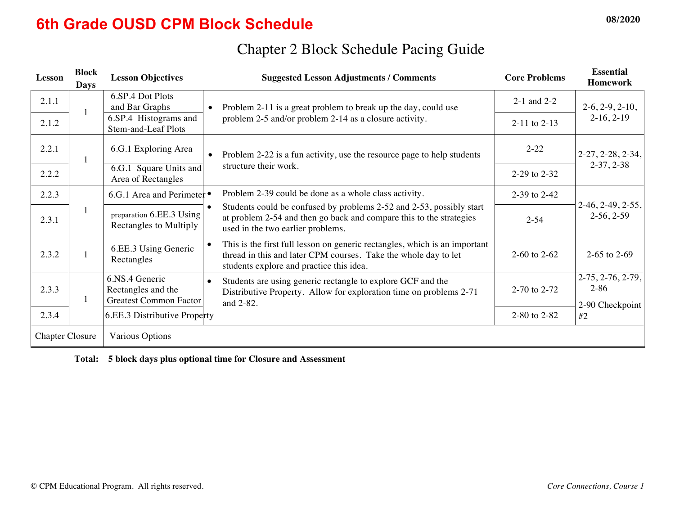## **6th Grade OUSD CPM Block Schedule 08/2020**

| Lesson                 | <b>Block</b><br><b>Days</b> | <b>Lesson Objectives</b>                                              | <b>Suggested Lesson Adjustments / Comments</b>                                                                                                                                            | <b>Core Problems</b> | <b>Essential</b><br><b>Homework</b>                |
|------------------------|-----------------------------|-----------------------------------------------------------------------|-------------------------------------------------------------------------------------------------------------------------------------------------------------------------------------------|----------------------|----------------------------------------------------|
| 2.1.1                  |                             | 6.SP.4 Dot Plots<br>and Bar Graphs                                    | Problem 2-11 is a great problem to break up the day, could use                                                                                                                            | $2-1$ and $2-2$      | $2-6, 2-9, 2-10,$                                  |
| 2.1.2                  | -1                          | 6.SP.4 Histograms and<br>Stem-and-Leaf Plots                          | problem 2-5 and/or problem 2-14 as a closure activity.                                                                                                                                    | $2-11$ to $2-13$     | $2-16, 2-19$                                       |
| 2.2.1                  | $\mathbf{1}$                | 6.G.1 Exploring Area                                                  | Problem 2-22 is a fun activity, use the resource page to help students                                                                                                                    | $2 - 22$             | $2-27, 2-28, 2-34,$                                |
| 2.2.2                  |                             | 6.G.1 Square Units and<br>Area of Rectangles                          | structure their work.                                                                                                                                                                     | 2-29 to 2-32         | $2-37, 2-38$                                       |
| 2.2.3                  |                             | 6.G.1 Area and Perimeter •                                            | Problem 2-39 could be done as a whole class activity.                                                                                                                                     | 2-39 to 2-42         |                                                    |
| 2.3.1                  | $\mathbf{1}$                | preparation 6.EE.3 Using<br>Rectangles to Multiply                    | Students could be confused by problems 2-52 and 2-53, possibly start<br>at problem 2-54 and then go back and compare this to the strategies<br>used in the two earlier problems.          | $2 - 54$             | $2-46, 2-49, 2-55,$<br>$2-56, 2-59$                |
| 2.3.2                  |                             | 6.EE.3 Using Generic<br>Rectangles                                    | This is the first full lesson on generic rectangles, which is an important<br>thread in this and later CPM courses. Take the whole day to let<br>students explore and practice this idea. | 2-60 to $2-62$       | 2-65 to 2-69                                       |
| 2.3.3                  |                             | 6.NS.4 Generic<br>Rectangles and the<br><b>Greatest Common Factor</b> | Students are using generic rectangle to explore GCF and the<br>$\bullet$<br>Distributive Property. Allow for exploration time on problems 2-71<br>and 2-82.                               | 2-70 to 2-72         | $2-75, 2-76, 2-79,$<br>$2 - 86$<br>2-90 Checkpoint |
| 2.3.4                  |                             | 6.EE.3 Distributive Property                                          |                                                                                                                                                                                           | 2-80 to 2-82         | #2                                                 |
| <b>Chapter Closure</b> |                             | Various Options                                                       |                                                                                                                                                                                           |                      |                                                    |

## Chapter 2 Block Schedule Pacing Guide

**Total: 5 block days plus optional time for Closure and Assessment**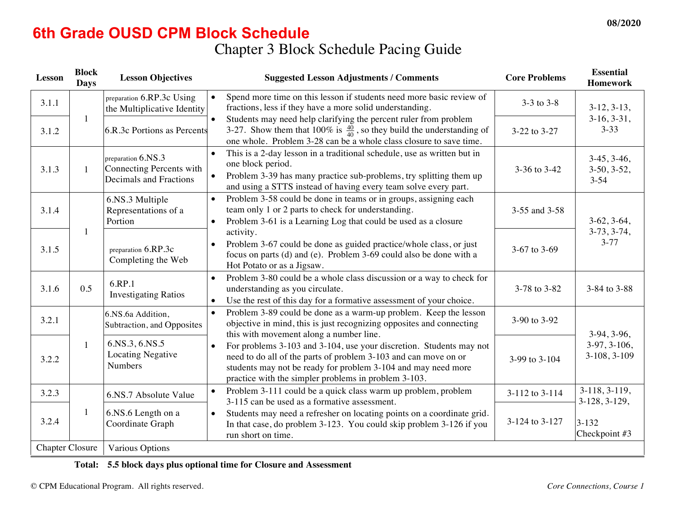# **6th Grade OUSD CPM Block Schedule**

## Chapter 3 Block Schedule Pacing Guide

| Lesson                 | <b>Block</b><br><b>Days</b> | <b>Lesson Objectives</b>                                                 | <b>Suggested Lesson Adjustments / Comments</b>                                                                                                                                                                                                                               | <b>Core Problems</b> | <b>Essential</b><br><b>Homework</b>        |
|------------------------|-----------------------------|--------------------------------------------------------------------------|------------------------------------------------------------------------------------------------------------------------------------------------------------------------------------------------------------------------------------------------------------------------------|----------------------|--------------------------------------------|
| 3.1.1                  |                             | preparation 6.RP.3c Using<br>the Multiplicative Identity                 | Spend more time on this lesson if students need more basic review of<br>$\bullet$<br>fractions, less if they have a more solid understanding.                                                                                                                                | $3-3$ to $3-8$       | $3-12, 3-13,$                              |
| 3.1.2                  | $\mathbf{1}$                | 6.R.3c Portions as Percents                                              | Students may need help clarifying the percent ruler from problem<br>3-27. Show them that 100% is $\frac{40}{40}$ , so they build the understanding of one whole. Problem 3-28 can be a whole class closure to save time.                                                     | 3-22 to 3-27         | $3-16, 3-31,$<br>$3 - 33$                  |
| 3.1.3                  | $\mathbf{1}$                | preparation 6.NS.3<br>Connecting Percents with<br>Decimals and Fractions | This is a 2-day lesson in a traditional schedule, use as written but in<br>$\bullet$<br>one block period.<br>Problem 3-39 has many practice sub-problems, try splitting them up<br>$\bullet$<br>and using a STTS instead of having every team solve every part.              | 3-36 to 3-42         | $3-45, 3-46,$<br>$3-50, 3-52,$<br>$3 - 54$ |
| 3.1.4                  |                             | 6.NS.3 Multiple<br>Representations of a<br>Portion                       | Problem 3-58 could be done in teams or in groups, assigning each<br>$\bullet$<br>team only 1 or 2 parts to check for understanding.<br>Problem 3-61 is a Learning Log that could be used as a closure<br>$\bullet$                                                           | 3-55 and 3-58        | $3-62, 3-64,$                              |
| 3.1.5                  | 1                           | preparation 6.RP.3c<br>Completing the Web                                | activity.<br>Problem 3-67 could be done as guided practice/whole class, or just<br>focus on parts (d) and (e). Problem 3-69 could also be done with a<br>Hot Potato or as a Jigsaw.                                                                                          | 3-67 to 3-69         | $3-73, 3-74,$<br>$3 - 77$                  |
| 3.1.6                  | 0.5                         | 6.RP.1<br><b>Investigating Ratios</b>                                    | Problem 3-80 could be a whole class discussion or a way to check for<br>understanding as you circulate.<br>Use the rest of this day for a formative assessment of your choice.<br>$\bullet$                                                                                  | 3-78 to 3-82         | 3-84 to 3-88                               |
| 3.2.1                  |                             | 6.NS.6a Addition,<br>Subtraction, and Opposites                          | Problem 3-89 could be done as a warm-up problem. Keep the lesson<br>$\bullet$<br>objective in mind, this is just recognizing opposites and connecting<br>this with movement along a number line.                                                                             | 3-90 to 3-92         | $3-94, 3-96,$                              |
| 3.2.2                  | $\mathbf{1}$                | 6.NS.3, 6.NS.5<br><b>Locating Negative</b><br>Numbers                    | For problems 3-103 and 3-104, use your discretion. Students may not<br>$\bullet$<br>need to do all of the parts of problem 3-103 and can move on or<br>students may not be ready for problem 3-104 and may need more<br>practice with the simpler problems in problem 3-103. | 3-99 to 3-104        | 3-97, 3-106,<br>3-108, 3-109               |
| 3.2.3                  |                             | 6.NS.7 Absolute Value                                                    | Problem 3-111 could be a quick class warm up problem, problem<br>$\bullet$<br>3-115 can be used as a formative assessment.                                                                                                                                                   | 3-112 to 3-114       | 3-118, 3-119,<br>3-128, 3-129,             |
| 3.2.4                  | $\mathbf{1}$                | 6.NS.6 Length on a<br>Coordinate Graph                                   | Students may need a refresher on locating points on a coordinate grid.<br>$\bullet$<br>In that case, do problem 3-123. You could skip problem 3-126 if you<br>run short on time.                                                                                             | 3-124 to 3-127       | $3 - 132$<br>Checkpoint #3                 |
| <b>Chapter Closure</b> |                             | Various Options                                                          |                                                                                                                                                                                                                                                                              |                      |                                            |

#### **Total: 5.5 block days plus optional time for Closure and Assessment**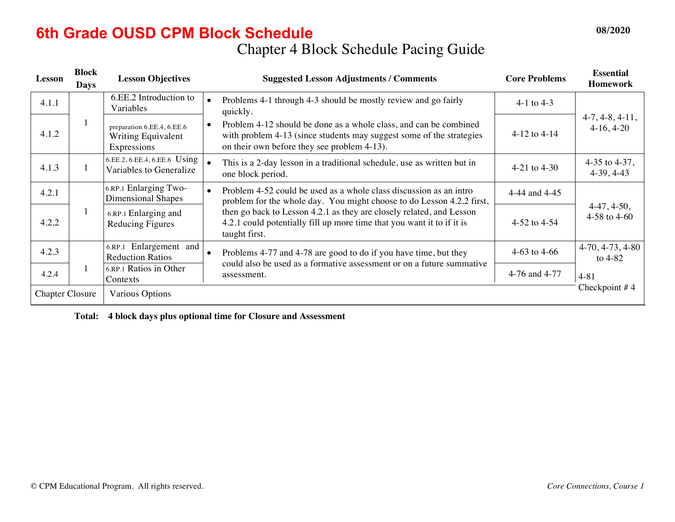## **6th Grade OUSD CPM Block Schedule 08/2020 08/2020**

Chapter 4 Block Schedule Pacing Guide

| Lesson                 | <b>Block</b><br><b>Days</b> | <b>Lesson Objectives</b>                                        | <b>Suggested Lesson Adjustments / Comments</b>                                                                                                                                           | <b>Core Problems</b> | <b>Essential</b><br><b>Homework</b> |
|------------------------|-----------------------------|-----------------------------------------------------------------|------------------------------------------------------------------------------------------------------------------------------------------------------------------------------------------|----------------------|-------------------------------------|
| 4.1.1                  |                             | 6.EE.2 Introduction to<br>Variables                             | Problems 4-1 through 4-3 should be mostly review and go fairly<br>quickly.                                                                                                               | 4-1 to 4-3           |                                     |
| 4.1.2                  | 1                           | preparation 6.EE.4, 6.EE.6<br>Writing Equivalent<br>Expressions | Problem 4-12 should be done as a whole class, and can be combined<br>with problem 4-13 (since students may suggest some of the strategies<br>on their own before they see problem 4-13). | $4-12$ to $4-14$     | $4-7, 4-8, 4-11,$<br>$4-16, 4-20$   |
| 4.1.3                  |                             | 6.EE.2, 6.EE.4, 6.EE.6 Using<br>Variables to Generalize         | This is a 2-day lesson in a traditional schedule, use as written but in<br>one block period.                                                                                             | 4-21 to $4-30$       | 4-35 to 4-37,<br>$4-39, 4-43$       |
| 4.2.1                  |                             | 6.RP.1 Enlarging Two-<br>Dimensional Shapes                     | Problem 4-52 could be used as a whole class discussion as an intro<br>problem for the whole day. You might choose to do Lesson 4.2.2 first,                                              | 4-44 and 4-45        |                                     |
| 4.2.2                  | 1                           | 6.RP.1 Enlarging and<br>Reducing Figures                        | then go back to Lesson 4.2.1 as they are closely related, and Lesson<br>4.2.1 could potentially fill up more time that you want it to if it is<br>taught first.                          | 4-52 to $4-54$       | $4-47, 4-50,$<br>4-58 to 4-60       |
| 4.2.3                  |                             | 6.RP.1 Enlargement and<br><b>Reduction Ratios</b>               | Problems 4-77 and 4-78 are good to do if you have time, but they<br>could also be used as a formative assessment or on a future summative                                                | 4-63 to 4-66         | $4-70, 4-73, 4-80$<br>to $4-82$     |
| 4.2.4                  |                             | 6.RP.1 Ratios in Other<br>Contexts                              | assessment.                                                                                                                                                                              | 4-76 and 4-77        | $4 - 81$                            |
| <b>Chapter Closure</b> |                             | <b>Various Options</b>                                          |                                                                                                                                                                                          |                      | Checkpoint $#4$                     |

**Total: 4 block days plus optional time for Closure and Assessment**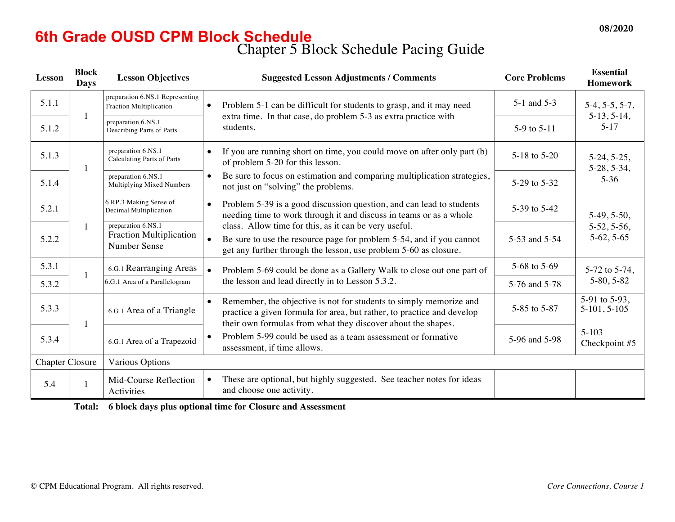#### Chapter 5 Block Schedule Pacing Guide **6th Grade OUSD CPM Block Schedule 08/2020**

| <b>Lesson</b>          | <b>Block</b><br><b>Days</b> | <b>Lesson Objectives</b>                                      | <b>Suggested Lesson Adjustments / Comments</b>                                                                                                                                                               | <b>Core Problems</b> | <b>Essential</b><br><b>Homework</b> |
|------------------------|-----------------------------|---------------------------------------------------------------|--------------------------------------------------------------------------------------------------------------------------------------------------------------------------------------------------------------|----------------------|-------------------------------------|
| 5.1.1                  | $\mathbf{1}$                | preparation 6.NS.1 Representing<br>Fraction Multiplication    | Problem 5-1 can be difficult for students to grasp, and it may need<br>$\bullet$                                                                                                                             | 5-1 and 5-3          | $5-4, 5-5, 5-7,$                    |
| 5.1.2                  |                             | preparation 6.NS.1<br>Describing Parts of Parts               | extra time. In that case, do problem 5-3 as extra practice with<br>students.                                                                                                                                 | 5-9 to 5-11          | $5-13, 5-14,$<br>$5 - 17$           |
| 5.1.3                  | $\mathbf{1}$                | preparation 6.NS.1<br><b>Calculating Parts of Parts</b>       | If you are running short on time, you could move on after only part (b)<br>of problem 5-20 for this lesson.                                                                                                  | 5-18 to 5-20         | $5-24, 5-25,$<br>$5-28, 5-34,$      |
| 5.1.4                  |                             | preparation 6.NS.1<br>Multiplying Mixed Numbers               | Be sure to focus on estimation and comparing multiplication strategies,<br>not just on "solving" the problems.                                                                                               | 5-29 to 5-32         | $5 - 36$                            |
| 5.2.1                  |                             | 6.RP.3 Making Sense of<br>Decimal Multiplication              | Problem 5-39 is a good discussion question, and can lead to students<br>$\bullet$<br>needing time to work through it and discuss in teams or as a whole                                                      | 5-39 to 5-42         | $5-49, 5-50,$                       |
| 5.2.2                  | $\mathbf{1}$                | preparation 6.NS.1<br>Fraction Multiplication<br>Number Sense | class. Allow time for this, as it can be very useful.<br>Be sure to use the resource page for problem 5-54, and if you cannot<br>get any further through the lesson, use problem 5-60 as closure.            | 5-53 and 5-54        | $5-52, 5-56,$<br>$5-62, 5-65$       |
| 5.3.1                  | $\mathbf{1}$                | 6.G.1 Rearranging Areas                                       | Problem 5-69 could be done as a Gallery Walk to close out one part of<br>$\bullet$                                                                                                                           | 5-68 to 5-69         | 5-72 to 5-74,                       |
| 5.3.2                  |                             | 6.G.1 Area of a Parallelogram                                 | the lesson and lead directly in to Lesson 5.3.2.                                                                                                                                                             | 5-76 and 5-78        | $5-80, 5-82$                        |
| 5.3.3                  | $\mathbf{1}$                | 6.G.1 Area of a Triangle                                      | Remember, the objective is not for students to simply memorize and<br>practice a given formula for area, but rather, to practice and develop<br>their own formulas from what they discover about the shapes. | 5-85 to 5-87         | 5-91 to 5-93,<br>$5-101, 5-105$     |
| 5.3.4                  |                             | 6.G.1 Area of a Trapezoid                                     | Problem 5-99 could be used as a team assessment or formative<br>assessment, if time allows.                                                                                                                  | 5-96 and 5-98        | $5 - 103$<br>Checkpoint #5          |
| <b>Chapter Closure</b> |                             | Various Options                                               |                                                                                                                                                                                                              |                      |                                     |
| 5.4                    | $\mathbf{1}$                | Mid-Course Reflection<br>Activities                           | These are optional, but highly suggested. See teacher notes for ideas<br>and choose one activity.                                                                                                            |                      |                                     |

**Total: 6 block days plus optional time for Closure and Assessment**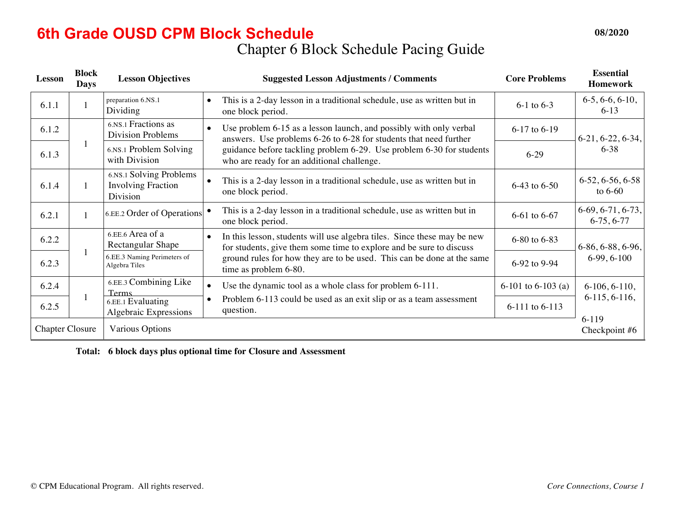## Chapter 6 Block Schedule Pacing Guide **6th Grade OUSD CPM Block Schedule 08/2020**

| Lesson                 | <b>Block</b><br><b>Days</b> | <b>Lesson Objectives</b>                                         | <b>Suggested Lesson Adjustments / Comments</b>                                                                                                              | <b>Core Problems</b> | <b>Essential</b><br><b>Homework</b> |
|------------------------|-----------------------------|------------------------------------------------------------------|-------------------------------------------------------------------------------------------------------------------------------------------------------------|----------------------|-------------------------------------|
| 6.1.1                  |                             | preparation 6.NS.1<br>Dividing                                   | This is a 2-day lesson in a traditional schedule, use as written but in<br>one block period.                                                                | $6-1$ to $6-3$       | $6-5, 6-6, 6-10,$<br>$6-13$         |
| 6.1.2                  |                             | 6.NS.1 Fractions as<br><b>Division Problems</b>                  | Use problem 6-15 as a lesson launch, and possibly with only verbal<br>answers. Use problems 6-26 to 6-28 for students that need further                     | 6-17 to 6-19         | $6-21, 6-22, 6-34,$                 |
| 6.1.3                  | 1                           | 6.NS.1 Problem Solving<br>with Division                          | guidance before tackling problem 6-29. Use problem 6-30 for students<br>who are ready for an additional challenge.                                          | $6 - 29$             | $6 - 38$                            |
| 6.1.4                  | 1                           | 6.NS.1 Solving Problems<br><b>Involving Fraction</b><br>Division | This is a 2-day lesson in a traditional schedule, use as written but in<br>one block period.                                                                | 6-43 to 6-50         | $6-52, 6-56, 6-58$<br>to $6-60$     |
| 6.2.1                  |                             | 6.EE.2 Order of Operations                                       | This is a 2-day lesson in a traditional schedule, use as written but in<br>one block period.                                                                | 6-61 to 6-67         | $6-69, 6-71, 6-73,$<br>$6-75, 6-77$ |
| 6.2.2                  |                             | 6.EE.6 Area of a<br>Rectangular Shape                            | In this lesson, students will use algebra tiles. Since these may be new<br>$\bullet$<br>for students, give them some time to explore and be sure to discuss | 6-80 to 6-83         | $6-86, 6-88, 6-96,$                 |
| 6.2.3                  |                             | 6.EE.3 Naming Perimeters of<br>Algebra Tiles                     | ground rules for how they are to be used. This can be done at the same<br>time as problem 6-80.                                                             | 6-92 to 9-94         | $6-99, 6-100$                       |
| 6.2.4                  |                             | 6.EE.3 Combining Like<br><b>Terms</b>                            | Use the dynamic tool as a whole class for problem 6-111.                                                                                                    | 6-101 to 6-103 (a)   | $6-106, 6-110,$                     |
| 6.2.5                  |                             | 6.EE.1 Evaluating<br>Algebraic Expressions                       | Problem 6-113 could be used as an exit slip or as a team assessment<br>question.                                                                            | 6-111 to 6-113       | $6-115, 6-116,$                     |
| <b>Chapter Closure</b> |                             | <b>Various Options</b>                                           |                                                                                                                                                             |                      | $6-119$<br>Checkpoint #6            |

**Total: 6 block days plus optional time for Closure and Assessment**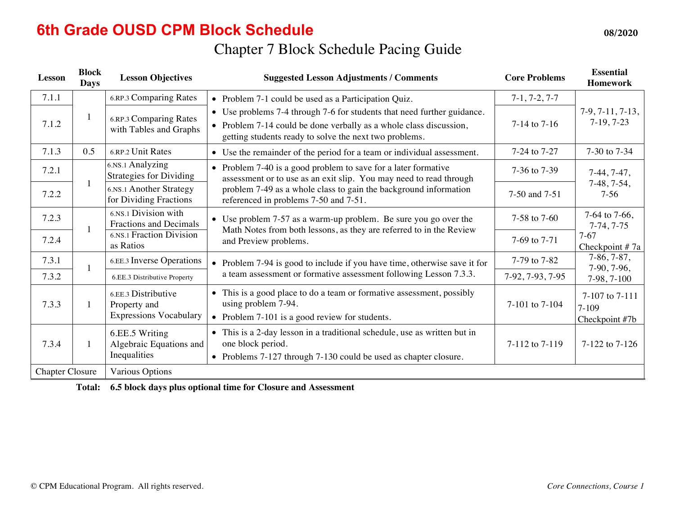#### **6th Grade OUSD CPM Block Schedule 08/2020 08/2020**

## Chapter 7 Block Schedule Pacing Guide

| <b>Lesson</b>                                    | <b>Block</b><br><b>Days</b> | <b>Lesson Objectives</b>                                             | <b>Suggested Lesson Adjustments / Comments</b>                                                                                                                                                                                                    | <b>Core Problems</b> | <b>Essential</b><br><b>Homework</b>           |
|--------------------------------------------------|-----------------------------|----------------------------------------------------------------------|---------------------------------------------------------------------------------------------------------------------------------------------------------------------------------------------------------------------------------------------------|----------------------|-----------------------------------------------|
| 7.1.1                                            |                             | 6.RP.3 Comparing Rates                                               | • Problem 7-1 could be used as a Participation Quiz.                                                                                                                                                                                              | $7-1, 7-2, 7-7$      |                                               |
| 7.1.2                                            | $\mathbf{1}$                | <b>6.RP.3 Comparing Rates</b><br>with Tables and Graphs              | Use problems 7-4 through 7-6 for students that need further guidance.<br>• Problem 7-14 could be done verbally as a whole class discussion,<br>getting students ready to solve the next two problems.                                             | 7-14 to 7-16         | $7-9, 7-11, 7-13,$<br>$7-19, 7-23$            |
| 7.1.3                                            | 0.5                         | 6.RP.2 Unit Rates                                                    | • Use the remainder of the period for a team or individual assessment.                                                                                                                                                                            | 7-24 to 7-27         | 7-30 to 7-34                                  |
| 7.2.1                                            |                             | 6.NS.1 Analyzing<br><b>Strategies for Dividing</b>                   | • Problem 7-40 is a good problem to save for a later formative<br>assessment or to use as an exit slip. You may need to read through<br>problem 7-49 as a whole class to gain the background information<br>referenced in problems 7-50 and 7-51. | 7-36 to 7-39         | $7-44, 7-47,$<br>$7-48, 7-54,$<br>$7-56$      |
| 7.2.2                                            | $\mathbf{1}$                | 6.NS.1 Another Strategy<br>for Dividing Fractions                    |                                                                                                                                                                                                                                                   | 7-50 and 7-51        |                                               |
| 7.2.3                                            | 1                           | 6.NS.1 Division with<br><b>Fractions and Decimals</b>                | Use problem 7-57 as a warm-up problem. Be sure you go over the<br>Math Notes from both lessons, as they are referred to in the Review                                                                                                             | 7-58 to 7-60         | 7-64 to 7-66,<br>$7-74, 7-75$                 |
| 7.2.4                                            |                             | 6.NS.1 Fraction Division<br>as Ratios                                | and Preview problems.                                                                                                                                                                                                                             | 7-69 to 7-71         | $7-67$<br>Checkpoint #7a                      |
| 7.3.1                                            |                             | <b>6.EE.3</b> Inverse Operations                                     | • Problem 7-94 is good to include if you have time, otherwise save it for                                                                                                                                                                         | 7-79 to 7-82         | $7-86, 7-87,$<br>7-90, 7-96,                  |
| 7.3.2                                            |                             | 6.EE.3 Distributive Property                                         | a team assessment or formative assessment following Lesson 7.3.3.                                                                                                                                                                                 | 7-92, 7-93, 7-95     | 7-98, 7-100                                   |
| 7.3.3                                            | $\mathbf{1}$                | 6.EE.3 Distributive<br>Property and<br><b>Expressions Vocabulary</b> | • This is a good place to do a team or formative assessment, possibly<br>using problem 7-94.<br>• Problem 7-101 is a good review for students.                                                                                                    | 7-101 to 7-104       | 7-107 to 7-111<br>$7 - 109$<br>Checkpoint #7b |
| 7.3.4                                            | $\mathbf{1}$                | 6.EE.5 Writing<br>Algebraic Equations and<br>Inequalities            | • This is a 2-day lesson in a traditional schedule, use as written but in<br>one block period.<br>• Problems 7-127 through 7-130 could be used as chapter closure.                                                                                | 7-112 to 7-119       | 7-122 to 7-126                                |
| <b>Chapter Closure</b><br><b>Various Options</b> |                             |                                                                      |                                                                                                                                                                                                                                                   |                      |                                               |

**Total: 6.5 block days plus optional time for Closure and Assessment**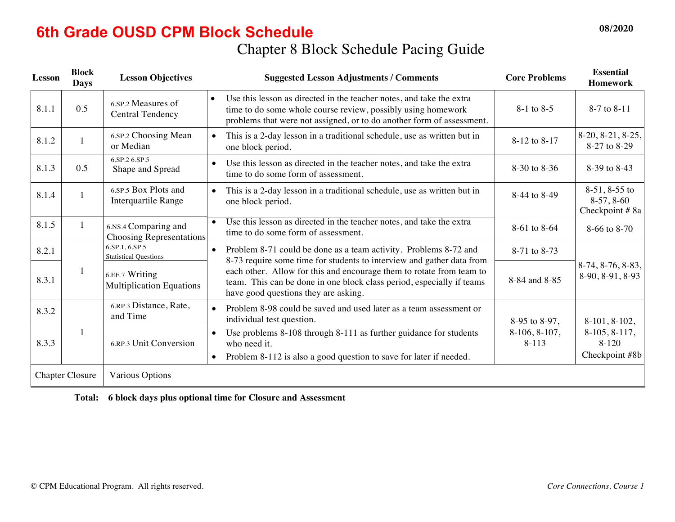## **6th Grade OUSD CPM Block Schedule 08/2020**

## Chapter 8 Block Schedule Pacing Guide

| Lesson                 | <b>Block</b><br><b>Days</b> | <b>Lesson Objectives</b>                                | <b>Suggested Lesson Adjustments / Comments</b>                                                                                                                                                                             | <b>Core Problems</b>         | <b>Essential</b><br><b>Homework</b>                |
|------------------------|-----------------------------|---------------------------------------------------------|----------------------------------------------------------------------------------------------------------------------------------------------------------------------------------------------------------------------------|------------------------------|----------------------------------------------------|
| 8.1.1                  | 0.5                         | 6.SP.2 Measures of<br><b>Central Tendency</b>           | Use this lesson as directed in the teacher notes, and take the extra<br>$\bullet$<br>time to do some whole course review, possibly using homework<br>problems that were not assigned, or to do another form of assessment. | $8-1$ to $8-5$               | 8-7 to 8-11                                        |
| 8.1.2                  | $\mathbf{1}$                | 6.SP.2 Choosing Mean<br>or Median                       | This is a 2-day lesson in a traditional schedule, use as written but in<br>$\bullet$<br>one block period.                                                                                                                  | 8-12 to 8-17                 | $8-20, 8-21, 8-25,$<br>8-27 to 8-29                |
| 8.1.3                  | 0.5                         | 6.SP.2 6.SP.5<br>Shape and Spread                       | Use this lesson as directed in the teacher notes, and take the extra<br>$\bullet$<br>time to do some form of assessment.                                                                                                   | 8-30 to 8-36                 | 8-39 to 8-43                                       |
| 8.1.4                  | $\mathbf{1}$                | 6.SP.5 Box Plots and<br>Interquartile Range             | This is a 2-day lesson in a traditional schedule, use as written but in<br>$\bullet$<br>one block period.                                                                                                                  | 8-44 to 8-49                 | $8-51, 8-55$ to<br>$8-57, 8-60$<br>Checkpoint # 8a |
| 8.1.5                  | 1                           | 6.NS.4 Comparing and<br><b>Choosing Representations</b> | Use this lesson as directed in the teacher notes, and take the extra<br>time to do some form of assessment.                                                                                                                | 8-61 to 8-64                 | 8-66 to 8-70                                       |
| 8.2.1                  |                             | 6.SP.1, 6.SP.5<br><b>Statistical Questions</b>          | Problem 8-71 could be done as a team activity. Problems 8-72 and<br>$\bullet$<br>8-73 require some time for students to interview and gather data from                                                                     | 8-71 to 8-73                 |                                                    |
| 8.3.1                  | $\mathbf{1}$                | 6.EE.7 Writing<br><b>Multiplication Equations</b>       | each other. Allow for this and encourage them to rotate from team to<br>team. This can be done in one block class period, especially if teams<br>have good questions they are asking.                                      | 8-84 and 8-85                | $8-74, 8-76, 8-83,$<br>8-90, 8-91, 8-93            |
| 8.3.2                  |                             | 6.RP.3 Distance, Rate,<br>and Time                      | Problem 8-98 could be saved and used later as a team assessment or<br>$\bullet$<br>individual test question.                                                                                                               | 8-95 to 8-97,                | $8-101, 8-102,$                                    |
| 8.3.3                  | 1                           | 6.RP.3 Unit Conversion<br>$\bullet$                     | Use problems 8-108 through 8-111 as further guidance for students<br>who need it.<br>Problem 8-112 is also a good question to save for later if needed.                                                                    | $8-106, 8-107,$<br>$8 - 113$ | $8-105, 8-117,$<br>$8 - 120$<br>Checkpoint #8b     |
| <b>Chapter Closure</b> |                             | <b>Various Options</b>                                  |                                                                                                                                                                                                                            |                              |                                                    |

|  | Total: 6 block days plus optional time for Closure and Assessment |  |  |  |  |
|--|-------------------------------------------------------------------|--|--|--|--|
|--|-------------------------------------------------------------------|--|--|--|--|